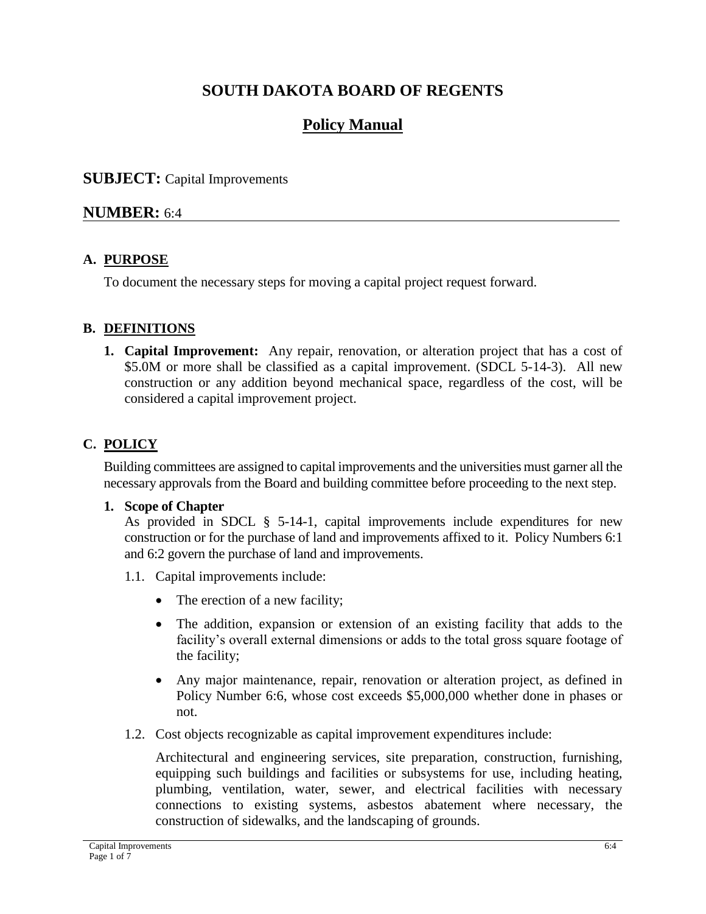# **SOUTH DAKOTA BOARD OF REGENTS**

# **Policy Manual**

#### **SUBJECT:** Capital Improvements

#### **NUMBER:** 6:4

#### **A. PURPOSE**

To document the necessary steps for moving a capital project request forward.

#### **B. DEFINITIONS**

**1. Capital Improvement:** Any repair, renovation, or alteration project that has a cost of \$5.0M or more shall be classified as a capital improvement. (SDCL 5-14-3). All new construction or any addition beyond mechanical space, regardless of the cost, will be considered a capital improvement project.

#### **C. POLICY**

Building committees are assigned to capital improvements and the universities must garner all the necessary approvals from the Board and building committee before proceeding to the next step.

#### **1. Scope of Chapter**

As provided in SDCL  $\S$  5-14-1, capital improvements include expenditures for new construction or for the purchase of land and improvements affixed to it. Policy Numbers 6:1 and 6:2 govern the purchase of land and improvements.

- 1.1. Capital improvements include:
	- The erection of a new facility;
	- The addition, expansion or extension of an existing facility that adds to the facility's overall external dimensions or adds to the total gross square footage of the facility;
	- Any major maintenance, repair, renovation or alteration project, as defined in Policy Number 6:6, whose cost exceeds \$5,000,000 whether done in phases or not.
- 1.2. Cost objects recognizable as capital improvement expenditures include:

Architectural and engineering services, site preparation, construction, furnishing, equipping such buildings and facilities or subsystems for use, including heating, plumbing, ventilation, water, sewer, and electrical facilities with necessary connections to existing systems, asbestos abatement where necessary, the construction of sidewalks, and the landscaping of grounds.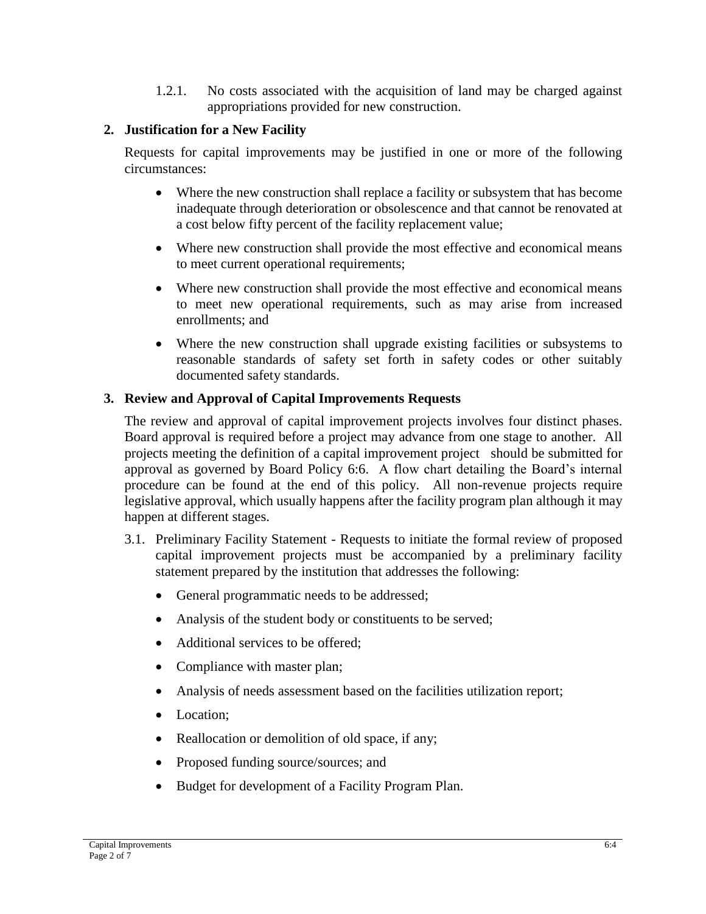1.2.1. No costs associated with the acquisition of land may be charged against appropriations provided for new construction.

#### **2. Justification for a New Facility**

Requests for capital improvements may be justified in one or more of the following circumstances:

- Where the new construction shall replace a facility or subsystem that has become inadequate through deterioration or obsolescence and that cannot be renovated at a cost below fifty percent of the facility replacement value;
- Where new construction shall provide the most effective and economical means to meet current operational requirements;
- Where new construction shall provide the most effective and economical means to meet new operational requirements, such as may arise from increased enrollments; and
- Where the new construction shall upgrade existing facilities or subsystems to reasonable standards of safety set forth in safety codes or other suitably documented safety standards.

### **3. Review and Approval of Capital Improvements Requests**

The review and approval of capital improvement projects involves four distinct phases. Board approval is required before a project may advance from one stage to another. All projects meeting the definition of a capital improvement project should be submitted for approval as governed by Board Policy 6:6. A flow chart detailing the Board's internal procedure can be found at the end of this policy. All non-revenue projects require legislative approval, which usually happens after the facility program plan although it may happen at different stages.

- 3.1. Preliminary Facility Statement Requests to initiate the formal review of proposed capital improvement projects must be accompanied by a preliminary facility statement prepared by the institution that addresses the following:
	- General programmatic needs to be addressed;
	- Analysis of the student body or constituents to be served;
	- Additional services to be offered:
	- Compliance with master plan;
	- Analysis of needs assessment based on the facilities utilization report;
	- Location;
	- Reallocation or demolition of old space, if any;
	- Proposed funding source/sources; and
	- Budget for development of a Facility Program Plan.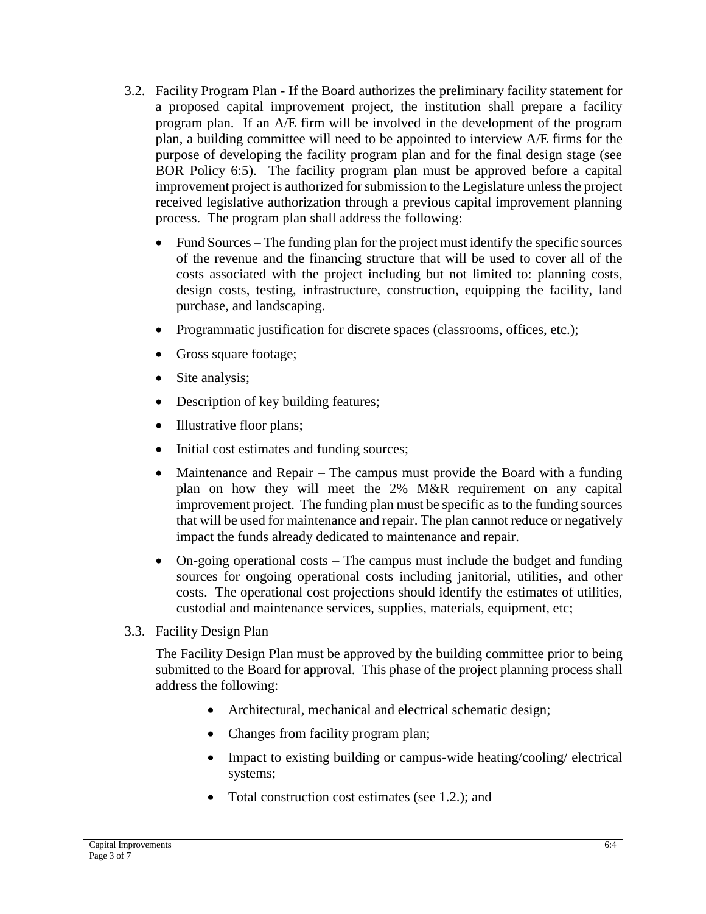- 3.2. Facility Program Plan If the Board authorizes the preliminary facility statement for a proposed capital improvement project, the institution shall prepare a facility program plan. If an A/E firm will be involved in the development of the program plan, a building committee will need to be appointed to interview A/E firms for the purpose of developing the facility program plan and for the final design stage (see BOR Policy 6:5). The facility program plan must be approved before a capital improvement project is authorized for submission to the Legislature unless the project received legislative authorization through a previous capital improvement planning process. The program plan shall address the following:
	- Fund Sources The funding plan for the project must identify the specific sources of the revenue and the financing structure that will be used to cover all of the costs associated with the project including but not limited to: planning costs, design costs, testing, infrastructure, construction, equipping the facility, land purchase, and landscaping.
	- Programmatic justification for discrete spaces (classrooms, offices, etc.);
	- Gross square footage;
	- Site analysis;
	- Description of key building features;
	- Illustrative floor plans;
	- Initial cost estimates and funding sources;
	- Maintenance and Repair The campus must provide the Board with a funding plan on how they will meet the 2% M&R requirement on any capital improvement project. The funding plan must be specific as to the funding sources that will be used for maintenance and repair. The plan cannot reduce or negatively impact the funds already dedicated to maintenance and repair.
	- On-going operational costs The campus must include the budget and funding sources for ongoing operational costs including janitorial, utilities, and other costs. The operational cost projections should identify the estimates of utilities, custodial and maintenance services, supplies, materials, equipment, etc;
- 3.3. Facility Design Plan

The Facility Design Plan must be approved by the building committee prior to being submitted to the Board for approval. This phase of the project planning process shall address the following:

- Architectural, mechanical and electrical schematic design;
- Changes from facility program plan;
- Impact to existing building or campus-wide heating/cooling/ electrical systems;
- Total construction cost estimates (see 1.2.); and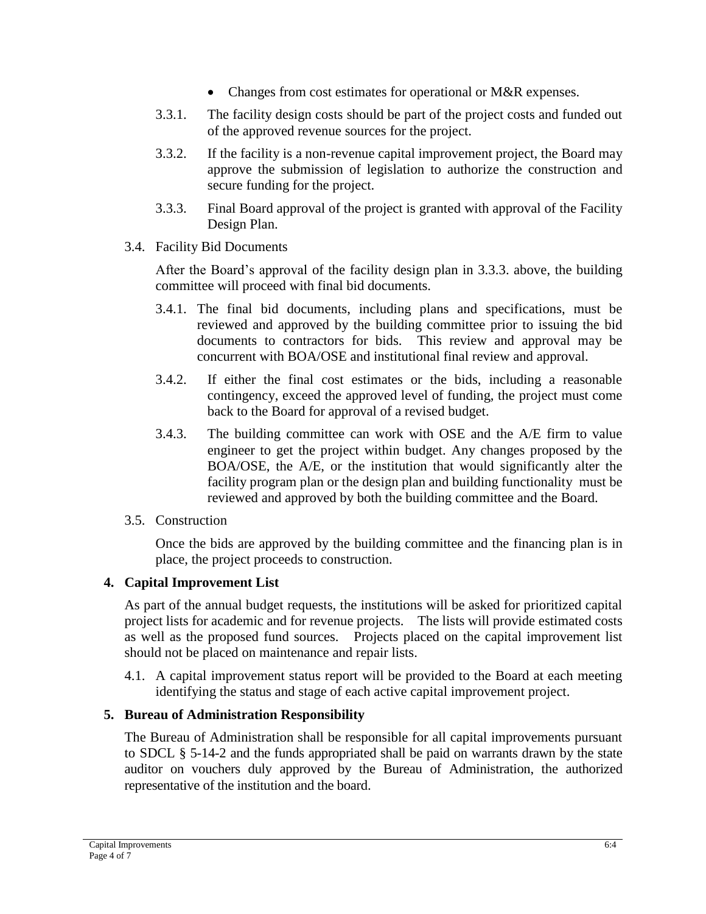- Changes from cost estimates for operational or M&R expenses.
- 3.3.1. The facility design costs should be part of the project costs and funded out of the approved revenue sources for the project.
- 3.3.2. If the facility is a non-revenue capital improvement project, the Board may approve the submission of legislation to authorize the construction and secure funding for the project.
- 3.3.3. Final Board approval of the project is granted with approval of the Facility Design Plan.
- 3.4. Facility Bid Documents

After the Board's approval of the facility design plan in 3.3.3. above, the building committee will proceed with final bid documents.

- 3.4.1. The final bid documents, including plans and specifications, must be reviewed and approved by the building committee prior to issuing the bid documents to contractors for bids. This review and approval may be concurrent with BOA/OSE and institutional final review and approval.
- 3.4.2. If either the final cost estimates or the bids, including a reasonable contingency, exceed the approved level of funding, the project must come back to the Board for approval of a revised budget.
- 3.4.3. The building committee can work with OSE and the A/E firm to value engineer to get the project within budget. Any changes proposed by the BOA/OSE, the A/E, or the institution that would significantly alter the facility program plan or the design plan and building functionality must be reviewed and approved by both the building committee and the Board.
- 3.5. Construction

Once the bids are approved by the building committee and the financing plan is in place, the project proceeds to construction.

#### **4. Capital Improvement List**

As part of the annual budget requests, the institutions will be asked for prioritized capital project lists for academic and for revenue projects. The lists will provide estimated costs as well as the proposed fund sources. Projects placed on the capital improvement list should not be placed on maintenance and repair lists.

4.1. A capital improvement status report will be provided to the Board at each meeting identifying the status and stage of each active capital improvement project.

### **5. Bureau of Administration Responsibility**

The Bureau of Administration shall be responsible for all capital improvements pursuant to SDCL § 5-14-2 and the funds appropriated shall be paid on warrants drawn by the state auditor on vouchers duly approved by the Bureau of Administration, the authorized representative of the institution and the board.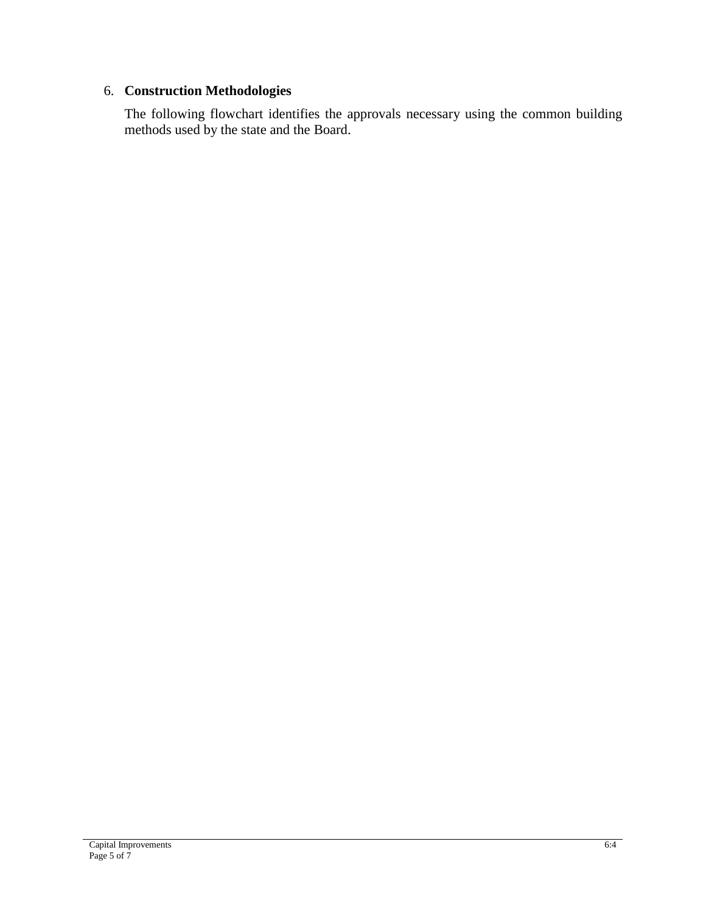#### 6. **Construction Methodologies**

The following flowchart identifies the approvals necessary using the common building methods used by the state and the Board.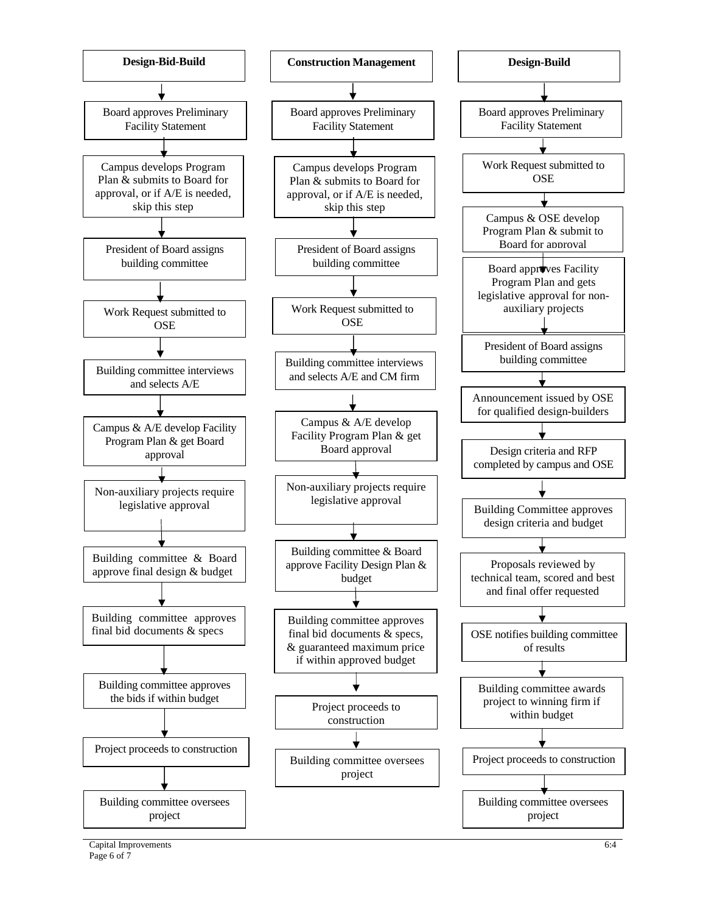

Capital Improvements Page 6 of  $\overline{7}$